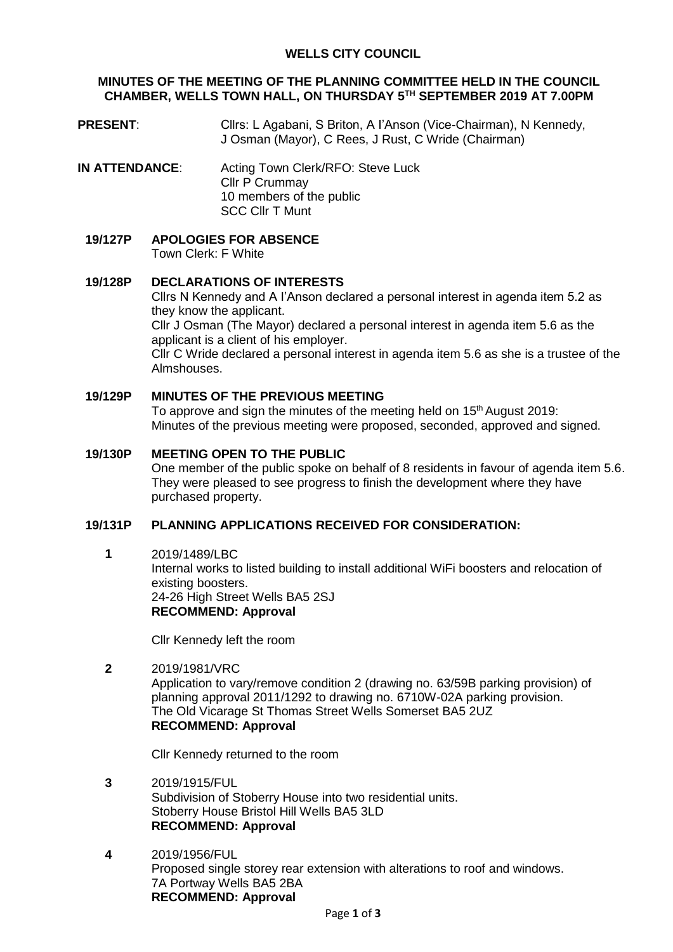### **MINUTES OF THE MEETING OF THE PLANNING COMMITTEE HELD IN THE COUNCIL CHAMBER, WELLS TOWN HALL, ON THURSDAY 5 TH SEPTEMBER 2019 AT 7.00PM**

- **PRESENT:** Cllrs: L Agabani, S Briton, A l'Anson (Vice-Chairman), N Kennedy, J Osman (Mayor), C Rees, J Rust, C Wride (Chairman)
- **IN ATTENDANCE:** Acting Town Clerk/RFO: Steve Luck Cllr P Crummay 10 members of the public SCC Cllr T Munt
	- **19/127P APOLOGIES FOR ABSENCE** Town Clerk: F White

### **19/128P DECLARATIONS OF INTERESTS**

Cllrs N Kennedy and A I'Anson declared a personal interest in agenda item 5.2 as they know the applicant. Cllr J Osman (The Mayor) declared a personal interest in agenda item 5.6 as the applicant is a client of his employer. Cllr C Wride declared a personal interest in agenda item 5.6 as she is a trustee of the Almshouses.

### **19/129P MINUTES OF THE PREVIOUS MEETING**

To approve and sign the minutes of the meeting held on 15<sup>th</sup> August 2019: Minutes of the previous meeting were proposed, seconded, approved and signed.

### **19/130P MEETING OPEN TO THE PUBLIC**

One member of the public spoke on behalf of 8 residents in favour of agenda item 5.6. They were pleased to see progress to finish the development where they have purchased property.

#### **19/131P PLANNING APPLICATIONS RECEIVED FOR CONSIDERATION:**

**1** 2019/1489/LBC

Internal works to listed building to install additional WiFi boosters and relocation of existing boosters. 24-26 High Street Wells BA5 2SJ **RECOMMEND: Approval**

Cllr Kennedy left the room

**2** 2019/1981/VRC Application to vary/remove condition 2 (drawing no. 63/59B parking provision) of planning approval 2011/1292 to drawing no. 6710W-02A parking provision. The Old Vicarage St Thomas Street Wells Somerset BA5 2UZ **RECOMMEND: Approval**

Cllr Kennedy returned to the room

- **3** 2019/1915/FUL Subdivision of Stoberry House into two residential units. Stoberry House Bristol Hill Wells BA5 3LD **RECOMMEND: Approval**
- **4** 2019/1956/FUL Proposed single storey rear extension with alterations to roof and windows. 7A Portway Wells BA5 2BA **RECOMMEND: Approval**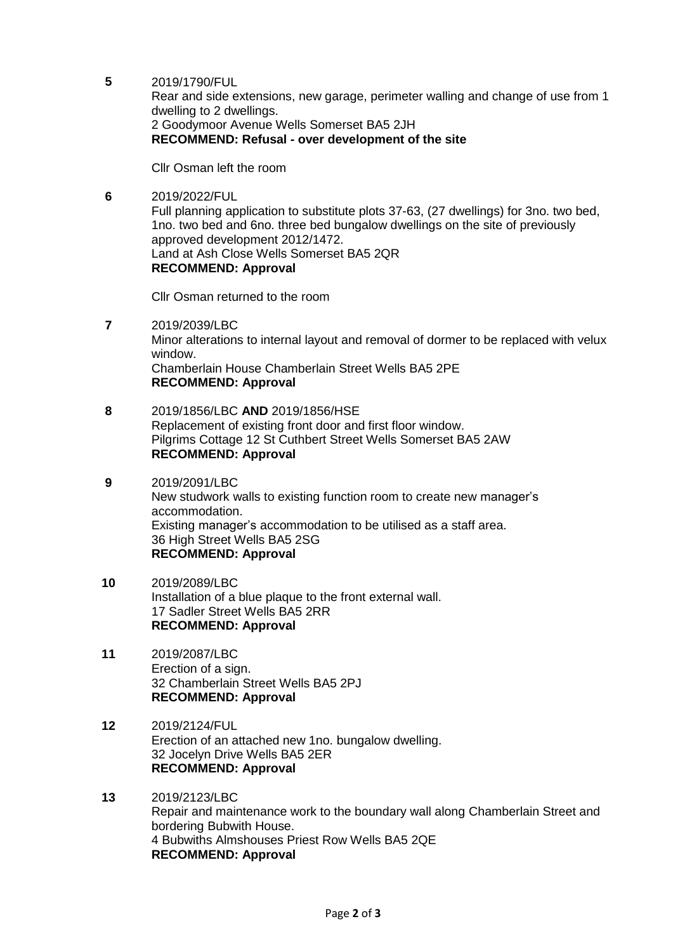**5** 2019/1790/FUL

Rear and side extensions, new garage, perimeter walling and change of use from 1 dwelling to 2 dwellings. 2 Goodymoor Avenue Wells Somerset BA5 2JH **RECOMMEND: Refusal - over development of the site**

Cllr Osman left the room

**6** 2019/2022/FUL Full planning application to substitute plots 37-63, (27 dwellings) for 3no. two bed, 1no. two bed and 6no. three bed bungalow dwellings on the site of previously approved development 2012/1472. Land at Ash Close Wells Somerset BA5 2QR **RECOMMEND: Approval**

Cllr Osman returned to the room

- **7** 2019/2039/LBC Minor alterations to internal layout and removal of dormer to be replaced with velux window. Chamberlain House Chamberlain Street Wells BA5 2PE **RECOMMEND: Approval**
- **8** 2019/1856/LBC **AND** 2019/1856/HSE Replacement of existing front door and first floor window. Pilgrims Cottage 12 St Cuthbert Street Wells Somerset BA5 2AW **RECOMMEND: Approval**
- **9** 2019/2091/LBC New studwork walls to existing function room to create new manager's accommodation. Existing manager's accommodation to be utilised as a staff area. 36 High Street Wells BA5 2SG **RECOMMEND: Approval**
- **10** 2019/2089/LBC Installation of a blue plaque to the front external wall. 17 Sadler Street Wells BA5 2RR **RECOMMEND: Approval**
- **11** 2019/2087/LBC Erection of a sign. 32 Chamberlain Street Wells BA5 2PJ **RECOMMEND: Approval**
- **12** 2019/2124/FUL Erection of an attached new 1no. bungalow dwelling. 32 Jocelyn Drive Wells BA5 2ER **RECOMMEND: Approval**
- **13** 2019/2123/LBC Repair and maintenance work to the boundary wall along Chamberlain Street and bordering Bubwith House. 4 Bubwiths Almshouses Priest Row Wells BA5 2QE **RECOMMEND: Approval**